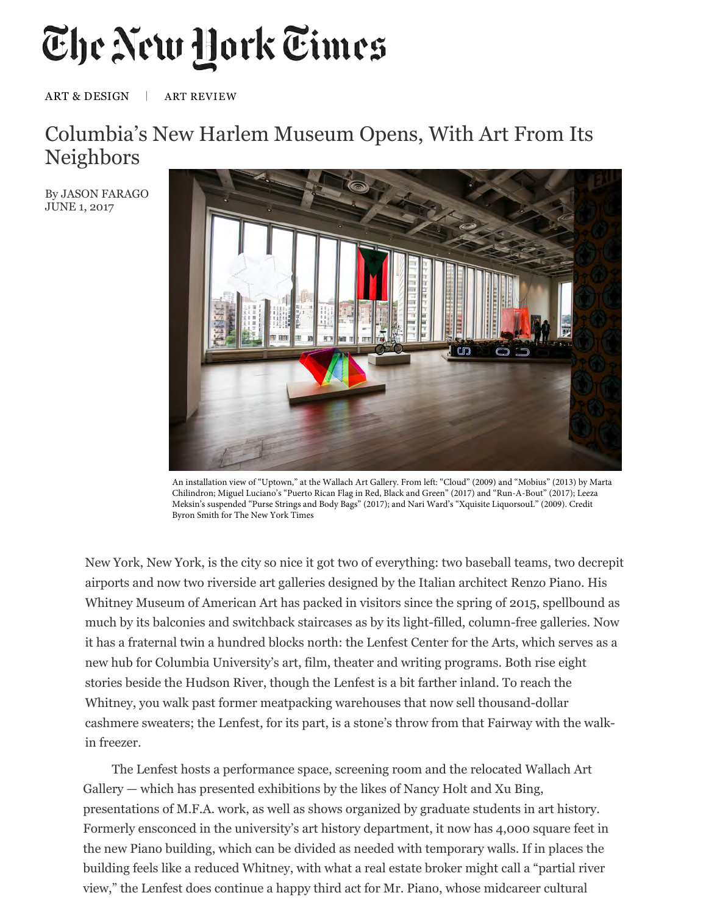## The New York Times

## ART & DESIGN | ART REVIEW

## Columbia's New Harlem Museum Opens, With Art From Its Neighbors

By JASON FARAGO JUNE 1, 2017



An installation view of "Uptown," at the Wallach Art Gallery. From left: "Cloud" (2009) and "Mobius" (2013) by Marta Chilindron; Miguel Luciano's "Puerto Rican Flag in Red, Black and Green" (2017) and "Run-A-Bout" (2017); Leeza Meksin's suspended "Purse Strings and Body Bags" (2017); and Nari Ward's "Xquisite LiquorsouL" (2009). Credit Byron Smith for The New York Times

New York, New York, is the city so nice it got two of everything: two baseball teams, two decrepit airports and now two riverside art galleries designed by the Italian architect Renzo Piano. His Whitney Museum of American Art has packed in visitors since the spring of 2015, spellbound as much by its balconies and switchback staircases as by its light-filled, column-free galleries. Now it has a fraternal twin a hundred blocks north: the Lenfest Center for the Arts, which serves as a new hub for Columbia University's art, film, theater and writing programs. Both rise eight stories beside the Hudson River, though the Lenfest is a bit farther inland. To reach the Whitney, you walk past former meatpacking warehouses that now sell thousand-dollar cashmere sweaters; the Lenfest, for its part, is a stone's throw from that Fairway with the walkin freezer.

The Lenfest hosts a performance space, screening room and the relocated Wallach Art Gallery — which has presented exhibitions by the likes of Nancy Holt and Xu Bing, presentations of M.F.A. work, as well as shows organized by graduate students in art history. Formerly ensconced in the university's art history department, it now has 4,000 square feet in the new Piano building, which can be divided as needed with temporary walls. If in places the building feels like a reduced Whitney, with what a real estate broker might call a "partial river view," the Lenfest does continue a happy third act for Mr. Piano, whose midcareer cultural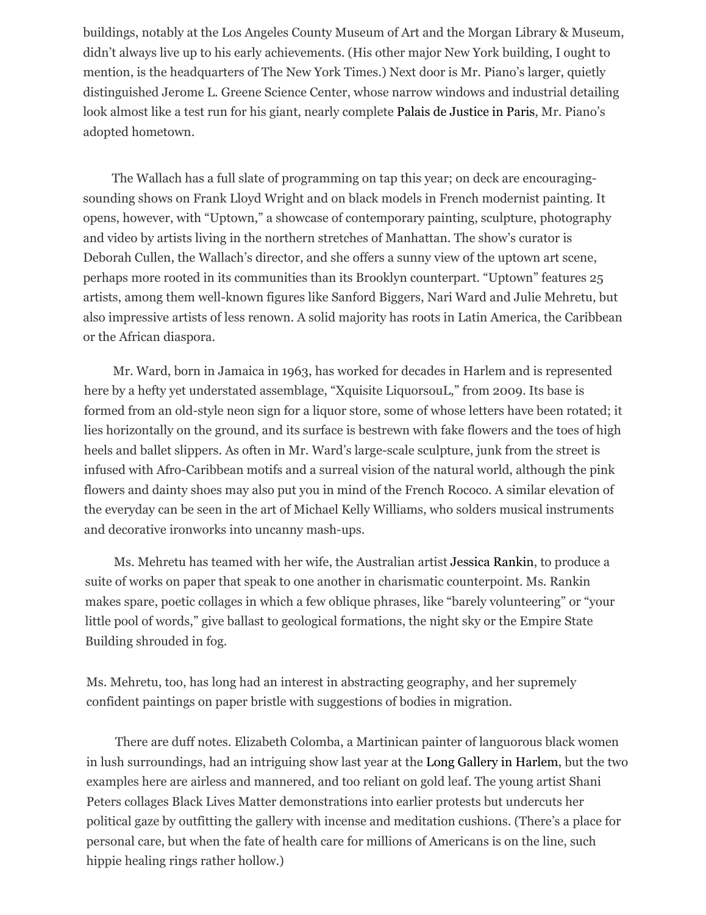buildings, notably at the Los Angeles County Museum of Art and the Morgan Library & Museum, didn't always live up to his early achievements. (His other major New York building, I ought to mention, is the headquarters of The New York Times.) Next door is Mr. Piano's larger, quietly distinguished Jerome L. Greene Science Center, whose narrow windows and industrial detailing look almost like a test run for his giant, nearly complete Palais de Justice in Paris, Mr. Piano's adopted hometown.

The Wallach has a full slate of programming on tap this year; on deck are encouragingsounding shows on Frank Lloyd Wright and on black models in French modernist painting. It opens, however, w[ith "Uptown," a showcase of](http://www.nouveaupalaisdejustice.fr/) contemporary painting, sculpture, photography and video by artists living in the northern stretches of Manhattan. The show's curator is Deborah Cullen, the Wallach's director, and she offers a sunny view of the uptown art scene, perhaps more rooted in its communities than its Brooklyn counterpart. "Uptown" features 25 artists, among them well-known figures like Sanford Biggers, Nari Ward and Julie Mehretu, but also impressive artists of less renown. A solid majority has roots in Latin America, the Caribbean or the African diaspora.

Mr. Ward, born in Jamaica in 1963, has worked for decades in Harlem and is represented here by a hefty yet understated assemblage, "Xquisite LiquorsouL," from 2009. Its base is formed from an old-style neon sign for a liquor store, some of whose letters have been rotated; it lies horizontally on the ground, and its surface is bestrewn with fake flowers and the toes of high heels and ballet slippers. As often in Mr. Ward's large-scale sculpture, junk from the street is infused with Afro-Caribbean motifs and a surreal vision of the natural world, although the pink flowers and dainty shoes may also put you in mind of the French Rococo. A similar elevation of the everyday can be seen in the art of Michael Kelly Williams, who solders musical instruments and decorative ironworks into uncanny mash-ups.

Ms. Mehretu has teamed with her wife, the Australian artist Jessica Rankin, to produce a suite of works on paper that speak to one another in charismatic counterpoint. Ms. Rankin makes spare, poetic collages in which a few oblique phrases, like "barely volunteering" or "your little pool of words," give ballast to geological formations, the night sky or the Empire State Building shrouded in fog.

Ms. Mehretu, too, has long had an interest in abstracting geography, and her supremely confident paintings on paper bristle with suggestions of bodies in migration.

There are duff notes. Elizabeth Colomba, a Martinican painter of languorous [black wo](http://whitecube.com/artists/jessica_rankin/)men in lush surroundings, had an intriguing show last year at the Long Gallery in Harlem, but the two examples here are airless and mannered, and too reliant on gold leaf. The young artist Shani Peters collages Black Lives Matter demonstrations into earlier protests but undercuts her political gaze by outfitting the gallery with incense and meditation cushions. (There's a place for personal care, but when the fate of health care for millions of Americans is on the line, such hippie healing rings rather hollow.)